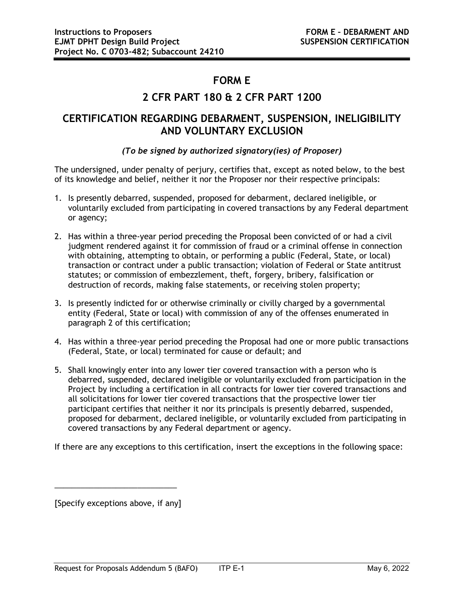## **FORM E**

## **2 CFR PART 180 & 2 CFR PART 1200**

## **CERTIFICATION REGARDING DEBARMENT, SUSPENSION, INELIGIBILITY AND VOLUNTARY EXCLUSION**

## *(To be signed by authorized signatory(ies) of Proposer)*

The undersigned, under penalty of perjury, certifies that, except as noted below, to the best of its knowledge and belief, neither it nor the Proposer nor their respective principals:

- 1. Is presently debarred, suspended, proposed for debarment, declared ineligible, or voluntarily excluded from participating in covered transactions by any Federal department or agency;
- 2. Has within a three-year period preceding the Proposal been convicted of or had a civil judgment rendered against it for commission of fraud or a criminal offense in connection with obtaining, attempting to obtain, or performing a public (Federal, State, or local) transaction or contract under a public transaction; violation of Federal or State antitrust statutes; or commission of embezzlement, theft, forgery, bribery, falsification or destruction of records, making false statements, or receiving stolen property;
- 3. Is presently indicted for or otherwise criminally or civilly charged by a governmental entity (Federal, State or local) with commission of any of the offenses enumerated in paragraph 2 of this certification;
- 4. Has within a three-year period preceding the Proposal had one or more public transactions (Federal, State, or local) terminated for cause or default; and
- 5. Shall knowingly enter into any lower tier covered transaction with a person who is debarred, suspended, declared ineligible or voluntarily excluded from participation in the Project by including a certification in all contracts for lower tier covered transactions and all solicitations for lower tier covered transactions that the prospective lower tier participant certifies that neither it nor its principals is presently debarred, suspended, proposed for debarment, declared ineligible, or voluntarily excluded from participating in covered transactions by any Federal department or agency.

If there are any exceptions to this certification, insert the exceptions in the following space:

[Specify exceptions above, if any]

 $\overline{\phantom{a}}$  , and the contract of the contract of the contract of the contract of the contract of the contract of the contract of the contract of the contract of the contract of the contract of the contract of the contrac